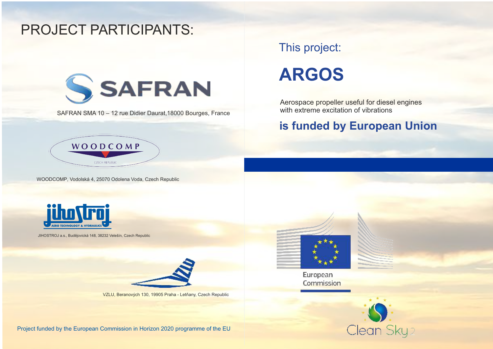## PROJECT PARTICIPANTS:



SAFRAN SMA 10 – 12 rue Didier Daurat,18000 Bourges, France

## This project:

# **ARGOS**

Aerospace propeller useful for diesel engines with extreme excitation of vibrations

### **is funded by European Union**



WOODCOMP, Vodolská 4, 25070 Odolena Voda, Czech Republic



JIHOSTROJ a.s., Budějovická 148, 38232 Velešín, Czech Republic



VZLU, Beranových 130, 19905 Praha - Letňany, Czech Republic



European Commission



Project funded by the European Commission in Horizon 2020 programme of the EU